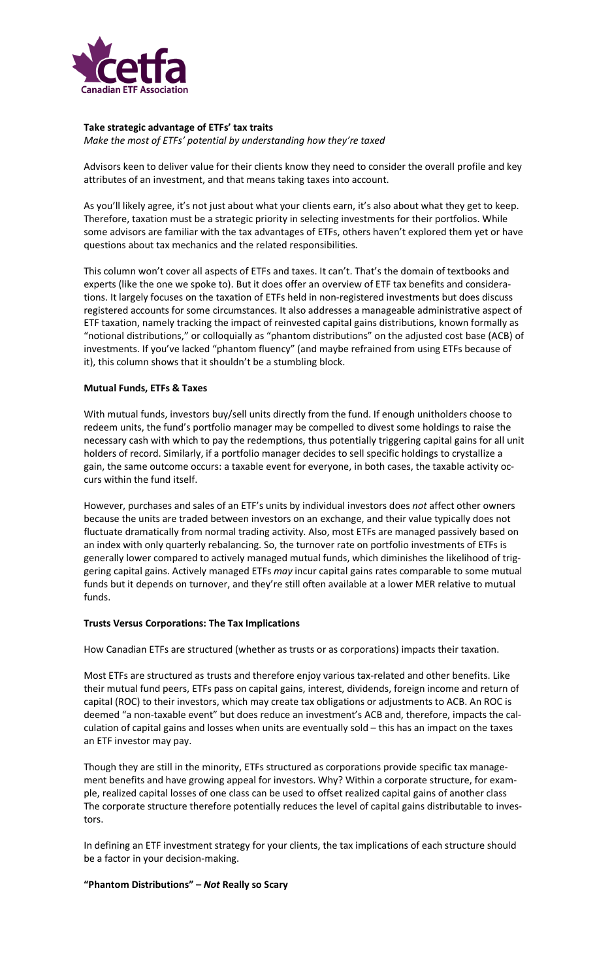

## **Take strategic advantage of ETFs' tax traits**

*Make the most of ETFs' potential by understanding how they're taxed*

Advisors keen to deliver value for their clients know they need to consider the overall profile and key attributes of an investment, and that means taking taxes into account.

As you'll likely agree, it's not just about what your clients earn, it's also about what they get to keep. Therefore, taxation must be a strategic priority in selecting investments for their portfolios. While some advisors are familiar with the tax advantages of ETFs, others haven't explored them yet or have questions about tax mechanics and the related responsibilities.

This column won't cover all aspects of ETFs and taxes. It can't. That's the domain of textbooks and experts (like the one we spoke to). But it does offer an overview of ETF tax benefits and considerations. It largely focuses on the taxation of ETFs held in non-registered investments but does discuss registered accounts for some circumstances. It also addresses a manageable administrative aspect of ETF taxation, namely tracking the impact of reinvested capital gains distributions, known formally as "notional distributions," or colloquially as "phantom distributions" on the adjusted cost base (ACB) of investments. If you've lacked "phantom fluency" (and maybe refrained from using ETFs because of it), this column shows that it shouldn't be a stumbling block.

# **Mutual Funds, ETFs & Taxes**

With mutual funds, investors buy/sell units directly from the fund. If enough unitholders choose to redeem units, the fund's portfolio manager may be compelled to divest some holdings to raise the necessary cash with which to pay the redemptions, thus potentially triggering capital gains for all unit holders of record. Similarly, if a portfolio manager decides to sell specific holdings to crystallize a gain, the same outcome occurs: a taxable event for everyone, in both cases, the taxable activity occurs within the fund itself.

However, purchases and sales of an ETF's units by individual investors does *not* affect other owners because the units are traded between investors on an exchange, and their value typically does not fluctuate dramatically from normal trading activity. Also, most ETFs are managed passively based on an index with only quarterly rebalancing. So, the turnover rate on portfolio investments of ETFs is generally lower compared to actively managed mutual funds, which diminishes the likelihood of triggering capital gains. Actively managed ETFs *may* incur capital gains rates comparable to some mutual funds but it depends on turnover, and they're still often available at a lower MER relative to mutual funds.

### **Trusts Versus Corporations: The Tax Implications**

How Canadian ETFs are structured (whether as trusts or as corporations) impacts their taxation.

Most ETFs are structured as trusts and therefore enjoy various tax-related and other benefits. Like their mutual fund peers, ETFs pass on capital gains, interest, dividends, foreign income and return of capital (ROC) to their investors, which may create tax obligations or adjustments to ACB. An ROC is deemed "a non-taxable event" but does reduce an investment's ACB and, therefore, impacts the calculation of capital gains and losses when units are eventually sold – this has an impact on the taxes an ETF investor may pay.

Though they are still in the minority, ETFs structured as corporations provide specific tax management benefits and have growing appeal for investors. Why? Within a corporate structure, for example, realized capital losses of one class can be used to offset realized capital gains of another class The corporate structure therefore potentially reduces the level of capital gains distributable to investors.

In defining an ETF investment strategy for your clients, the tax implications of each structure should be a factor in your decision-making.

### **"Phantom Distributions" –** *Not* **Really so Scary**